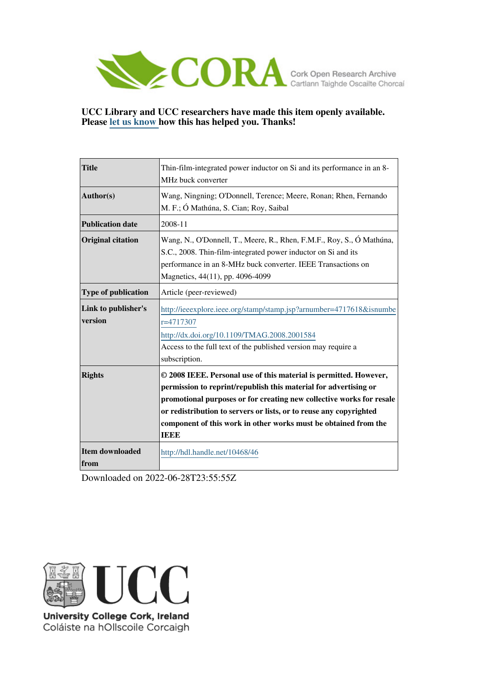

## **UCC Library and UCC researchers have made this item openly available. Please [let us know h](https://libguides.ucc.ie/openaccess/impact?suffix=46&title=Thin-film-integrated power inductor on Si and its performance in an 8-MHz buck converter)ow this has helped you. Thanks!**

| <b>Title</b>                   | Thin-film-integrated power inductor on Si and its performance in an 8-<br>MHz buck converter                                                                                                                                                                                                                                                                          |  |
|--------------------------------|-----------------------------------------------------------------------------------------------------------------------------------------------------------------------------------------------------------------------------------------------------------------------------------------------------------------------------------------------------------------------|--|
| Author(s)                      | Wang, Ningning; O'Donnell, Terence; Meere, Ronan; Rhen, Fernando<br>M. F.; Ó Mathúna, S. Cian; Roy, Saibal                                                                                                                                                                                                                                                            |  |
| <b>Publication date</b>        | 2008-11                                                                                                                                                                                                                                                                                                                                                               |  |
| <b>Original citation</b>       | Wang, N., O'Donnell, T., Meere, R., Rhen, F.M.F., Roy, S., Ó Mathúna,<br>S.C., 2008. Thin-film-integrated power inductor on Si and its<br>performance in an 8-MHz buck converter. IEEE Transactions on<br>Magnetics, 44(11), pp. 4096-4099                                                                                                                            |  |
| <b>Type of publication</b>     | Article (peer-reviewed)                                                                                                                                                                                                                                                                                                                                               |  |
| Link to publisher's<br>version | http://ieeexplore.ieee.org/stamp/stamp.jsp?arnumber=4717618&isnumbe<br>r=4717307<br>http://dx.doi.org/10.1109/TMAG.2008.2001584<br>Access to the full text of the published version may require a<br>subscription.                                                                                                                                                    |  |
| <b>Rights</b>                  | © 2008 IEEE. Personal use of this material is permitted. However,<br>permission to reprint/republish this material for advertising or<br>promotional purposes or for creating new collective works for resale<br>or redistribution to servers or lists, or to reuse any copyrighted<br>component of this work in other works must be obtained from the<br><b>TEEE</b> |  |
| <b>Item downloaded</b><br>from | http://hdl.handle.net/10468/46                                                                                                                                                                                                                                                                                                                                        |  |

Downloaded on 2022-06-28T23:55:55Z



Coláiste na hOllscoile Corcaigh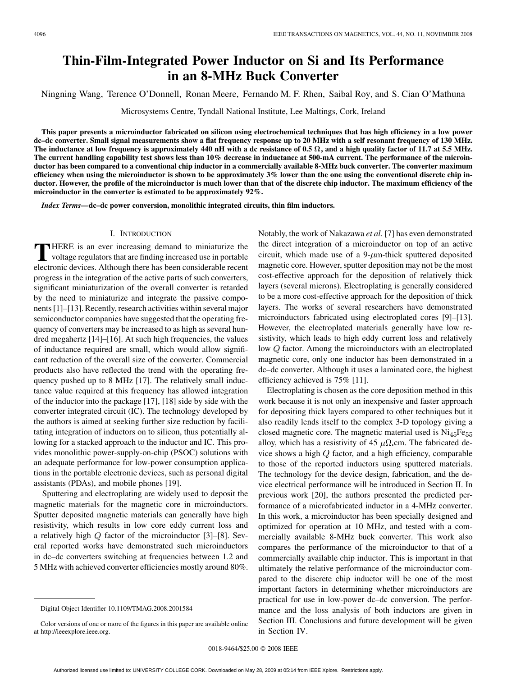# **Thin-Film-Integrated Power Inductor on Si and Its Performance in an 8-MHz Buck Converter**

Ningning Wang, Terence O'Donnell, Ronan Meere, Fernando M. F. Rhen, Saibal Roy, and S. Cian O'Mathuna

Microsystems Centre, Tyndall National Institute, Lee Maltings, Cork, Ireland

**This paper presents a microinductor fabricated on silicon using electrochemical techniques that has high efficiency in a low power dc–dc converter. Small signal measurements show a flat frequency response up to 20 MHz with a self resonant frequency of 130 MHz. The inductance at low frequency is approximately 440 nH with a dc resistance of 0.5 , and a high quality factor of 11.7 at 5.5 MHz. The current handling capability test shows less than 10% decrease in inductance at 500-mA current. The performance of the microinductor has been compared to a conventional chip inductor in a commercially available 8-MHz buck converter. The converter maximum efficiency when using the microinductor is shown to be approximately 3% lower than the one using the conventional discrete chip inductor. However, the profile of the microinductor is much lower than that of the discrete chip inductor. The maximum efficiency of the microinductor in the converter is estimated to be approximately 92%.**

*Index Terms—***dc–dc power conversion, monolithic integrated circuits, thin film inductors.**

#### I. INTRODUCTION

THERE is an ever increasing demand to miniaturize the voltage regulators that are finding increased use in portable also<br>classification deviates. Although there has been considerable recent electronic devices. Although there has been considerable recent progress in the integration of the active parts of such converters, significant miniaturization of the overall converter is retarded by the need to miniaturize and integrate the passive components [1]–[13]. Recently, research activities within several major semiconductor companies have suggested that the operating frequency of converters may be increased to as high as several hundred megahertz [14]–[16]. At such high frequencies, the values of inductance required are small, which would allow significant reduction of the overall size of the converter. Commercial products also have reflected the trend with the operating frequency pushed up to 8 MHz [17]. The relatively small inductance value required at this frequency has allowed integration of the inductor into the package [17], [18] side by side with the converter integrated circuit (IC). The technology developed by the authors is aimed at seeking further size reduction by facilitating integration of inductors on to silicon, thus potentially allowing for a stacked approach to the inductor and IC. This provides monolithic power-supply-on-chip (PSOC) solutions with an adequate performance for low-power consumption applications in the portable electronic devices, such as personal digital assistants (PDAs), and mobile phones [19].

Sputtering and electroplating are widely used to deposit the magnetic materials for the magnetic core in microinductors. Sputter deposited magnetic materials can generally have high resistivity, which results in low core eddy current loss and a relatively high  $Q$  factor of the microinductor [3]–[8]. Several reported works have demonstrated such microinductors in dc–dc converters switching at frequencies between 1.2 and 5 MHz with achieved converter efficiencies mostly around 80%. Notably, the work of Nakazawa *et al.* [7] has even demonstrated the direct integration of a microinductor on top of an active circuit, which made use of a  $9\text{-}\mu\text{m}$ -thick sputtered deposited magnetic core. However, sputter deposition may not be the most cost-effective approach for the deposition of relatively thick layers (several microns). Electroplating is generally considered to be a more cost-effective approach for the deposition of thick layers. The works of several researchers have demonstrated microinductors fabricated using electroplated cores [9]–[13]. However, the electroplated materials generally have low resistivity, which leads to high eddy current loss and relatively low  $Q$  factor. Among the microinductors with an electroplated magnetic core, only one inductor has been demonstrated in a dc–dc converter. Although it uses a laminated core, the highest efficiency achieved is 75% [11].

Electroplating is chosen as the core deposition method in this work because it is not only an inexpensive and faster approach for depositing thick layers compared to other techniques but it also readily lends itself to the complex 3-D topology giving a closed magnetic core. The magnetic material used is  $Ni<sub>45</sub>Fe<sub>55</sub>$ alloy, which has a resistivity of 45  $\mu\Omega$  cm. The fabricated device shows a high  $Q$  factor, and a high efficiency, comparable to those of the reported inductors using sputtered materials. The technology for the device design, fabrication, and the device electrical performance will be introduced in Section II. In previous work [20], the authors presented the predicted performance of a microfabricated inductor in a 4-MHz converter. In this work, a microinductor has been specially designed and optimized for operation at 10 MHz, and tested with a commercially available 8-MHz buck converter. This work also compares the performance of the microinductor to that of a commercially available chip inductor. This is important in that ultimately the relative performance of the microinductor compared to the discrete chip inductor will be one of the most important factors in determining whether microinductors are practical for use in low-power dc–dc conversion. The performance and the loss analysis of both inductors are given in Section III. Conclusions and future development will be given in Section IV.

Digital Object Identifier 10.1109/TMAG.2008.2001584

Color versions of one or more of the figures in this paper are available online at http://ieeexplore.ieee.org.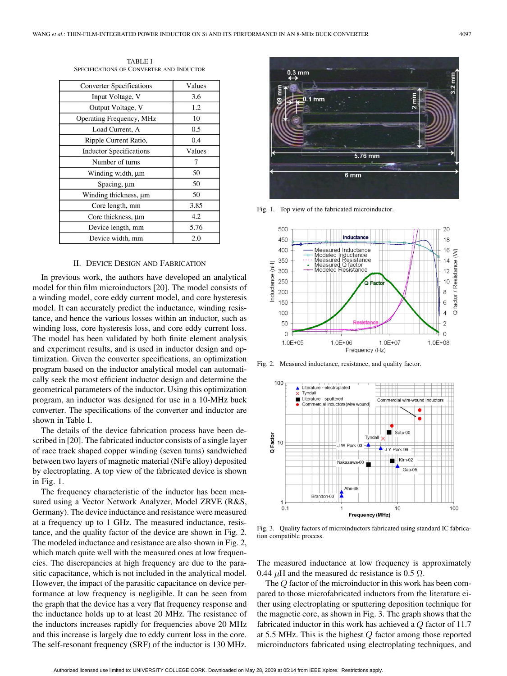| <b>Converter Specifications</b> | Values |
|---------------------------------|--------|
| Input Voltage, V                | 3.6    |
| Output Voltage, V               | 1.2    |
| Operating Frequency, MHz        | 10     |
| Load Current, A                 | 0.5    |
| Ripple Current Ratio,           | 0.4    |
| <b>Inductor Specifications</b>  | Values |
| Number of turns                 |        |
| Winding width, µm               | 50     |
| Spacing, µm                     | 50     |
| Winding thickness, µm           | 50     |
| Core length, mm                 | 3.85   |
| Core thickness, $\mu$ m         | 4.2    |
| Device length, mm               | 5.76   |
| Device width, mm                | 2.0    |

TABLE I SPECIFICATIONS OF CONVERTER AND INDUCTOR

### II. DEVICE DESIGN AND FABRICATION

In previous work, the authors have developed an analytical model for thin film microinductors [20]. The model consists of a winding model, core eddy current model, and core hysteresis model. It can accurately predict the inductance, winding resistance, and hence the various losses within an inductor, such as winding loss, core hysteresis loss, and core eddy current loss. The model has been validated by both finite element analysis and experiment results, and is used in inductor design and optimization. Given the converter specifications, an optimization program based on the inductor analytical model can automatically seek the most efficient inductor design and determine the geometrical parameters of the inductor. Using this optimization program, an inductor was designed for use in a 10-MHz buck converter. The specifications of the converter and inductor are shown in Table I.

The details of the device fabrication process have been described in [20]. The fabricated inductor consists of a single layer of race track shaped copper winding (seven turns) sandwiched between two layers of magnetic material (NiFe alloy) deposited by electroplating. A top view of the fabricated device is shown in Fig. 1.

The frequency characteristic of the inductor has been measured using a Vector Network Analyzer, Model ZRVE (R&S, Germany). The device inductance and resistance were measured at a frequency up to 1 GHz. The measured inductance, resistance, and the quality factor of the device are shown in Fig. 2. The modeled inductance and resistance are also shown in Fig. 2, which match quite well with the measured ones at low frequencies. The discrepancies at high frequency are due to the parasitic capacitance, which is not included in the analytical model. However, the impact of the parasitic capacitance on device performance at low frequency is negligible. It can be seen from the graph that the device has a very flat frequency response and the inductance holds up to at least 20 MHz. The resistance of the inductors increases rapidly for frequencies above 20 MHz and this increase is largely due to eddy current loss in the core. The self-resonant frequency (SRF) of the inductor is 130 MHz.



Fig. 1. Top view of the fabricated microinductor.



Fig. 2. Measured inductance, resistance, and quality factor.



Fig. 3. Quality factors of microinductors fabricated using standard IC fabrication compatible process.

The measured inductance at low frequency is approximately 0.44  $\mu$ H and the measured dc resistance is 0.5  $\Omega$ .

The  $Q$  factor of the microinductor in this work has been compared to those microfabricated inductors from the literature either using electroplating or sputtering deposition technique for the magnetic core, as shown in Fig. 3. The graph shows that the fabricated inductor in this work has achieved a  $Q$  factor of 11.7 at 5.5 MHz. This is the highest  $Q$  factor among those reported microinductors fabricated using electroplating techniques, and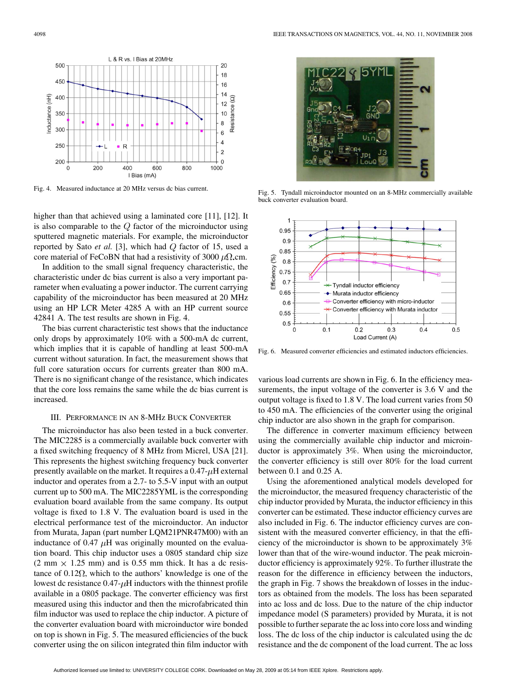

Fig. 4. Measured inductance at 20 MHz versus dc bias current.

higher than that achieved using a laminated core [11], [12]. It is also comparable to the  $Q$  factor of the microinductor using sputtered magnetic materials. For example, the microinductor reported by Sato  $et$   $al.$  [3], which had  $Q$  factor of 15, used a core material of FeCoBN that had a resistivity of 3000  $\mu\Omega$ .cm.

In addition to the small signal frequency characteristic, the characteristic under dc bias current is also a very important parameter when evaluating a power inductor. The current carrying capability of the microinductor has been measured at 20 MHz using an HP LCR Meter 4285 A with an HP current source 42841 A. The test results are shown in Fig. 4.

The bias current characteristic test shows that the inductance only drops by approximately 10% with a 500-mA dc current, which implies that it is capable of handling at least 500-mA current without saturation. In fact, the measurement shows that full core saturation occurs for currents greater than 800 mA. There is no significant change of the resistance, which indicates that the core loss remains the same while the dc bias current is increased.

#### III. PERFORMANCE IN AN 8-MHz BUCK CONVERTER

The microinductor has also been tested in a buck converter. The MIC2285 is a commercially available buck converter with a fixed switching frequency of 8 MHz from Micrel, USA [21]. This represents the highest switching frequency buck converter presently available on the market. It requires a  $0.47-\mu$ H external inductor and operates from a 2.7- to 5.5-V input with an output current up to 500 mA. The MIC2285YML is the corresponding evaluation board available from the same company. Its output voltage is fixed to 1.8 V. The evaluation board is used in the electrical performance test of the microinductor. An inductor from Murata, Japan (part number LQM21PNR47M00) with an inductance of 0.47  $\mu$ H was originally mounted on the evaluation board. This chip inductor uses a 0805 standard chip size  $(2 \text{ mm} \times 1.25 \text{ mm})$  and is 0.55 mm thick. It has a dc resistance of  $0.12\Omega$ , which to the authors' knowledge is one of the lowest dc resistance  $0.47 - \mu$ H inductors with the thinnest profile available in a 0805 package. The converter efficiency was first measured using this inductor and then the microfabricated thin film inductor was used to replace the chip inductor. A picture of the converter evaluation board with microinductor wire bonded on top is shown in Fig. 5. The measured efficiencies of the buck converter using the on silicon integrated thin film inductor with



Fig. 5. Tyndall microinductor mounted on an 8-MHz commercially available buck converter evaluation board.



Fig. 6. Measured converter efficiencies and estimated inductors efficiencies.

various load currents are shown in Fig. 6. In the efficiency measurements, the input voltage of the converter is 3.6 V and the output voltage is fixed to 1.8 V. The load current varies from 50 to 450 mA. The efficiencies of the converter using the original chip inductor are also shown in the graph for comparison.

The difference in converter maximum efficiency between using the commercially available chip inductor and microinductor is approximately 3%. When using the microinductor, the converter efficiency is still over 80% for the load current between 0.1 and 0.25 A.

Using the aforementioned analytical models developed for the microinductor, the measured frequency characteristic of the chip inductor provided by Murata, the inductor efficiency in this converter can be estimated. These inductor efficiency curves are also included in Fig. 6. The inductor efficiency curves are consistent with the measured converter efficiency, in that the efficiency of the microinductor is shown to be approximately 3% lower than that of the wire-wound inductor. The peak microinductor efficiency is approximately 92%. To further illustrate the reason for the difference in efficiency between the inductors, the graph in Fig. 7 shows the breakdown of losses in the inductors as obtained from the models. The loss has been separated into ac loss and dc loss. Due to the nature of the chip inductor impedance model (S parameters) provided by Murata, it is not possible to further separate the ac loss into core loss and winding loss. The dc loss of the chip inductor is calculated using the dc resistance and the dc component of the load current. The ac loss